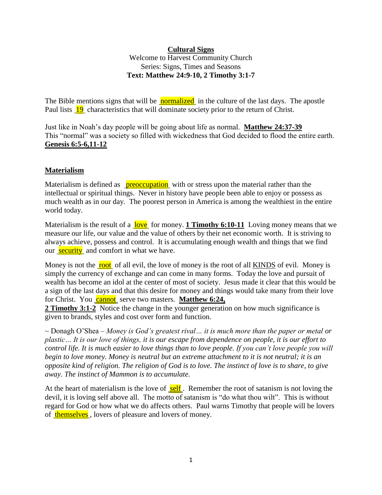#### **Cultural Signs**

Welcome to Harvest Community Church Series: Signs, Times and Seasons **Text: Matthew 24:9-10, 2 Timothy 3:1-7**

The Bible mentions signs that will be **normalized** in the culture of the last days. The apostle Paul lists 19 characteristics that will dominate society prior to the return of Christ.

Just like in Noah's day people will be going about life as normal. **Matthew 24:37-39**  This "normal" was a society so filled with wickedness that God decided to flood the entire earth. **Genesis 6:5-6,11-12**

#### **Materialism**

Materialism is defined as **preoccupation** with or stress upon the material rather than the intellectual or spiritual things. Never in history have people been able to enjoy or possess as much wealth as in our day. The poorest person in America is among the wealthiest in the entire world today.

Materialism is the result of a love for money. **1 Timothy 6:10-11** Loving money means that we measure our life, our value and the value of others by their net economic worth. It is striving to always achieve, possess and control. It is accumulating enough wealth and things that we find our security and comfort in what we have.

Money is not the root of all evil, the love of money is the root of all KINDS of evil. Money is simply the currency of exchange and can come in many forms. Today the love and pursuit of wealth has become an idol at the center of most of society. Jesus made it clear that this would be a sign of the last days and that this desire for money and things would take many from their love for Christ. You **cannot** serve two masters. **Matthew 6:24,** 

**2 Timothy 3:1-2** Notice the change in the younger generation on how much significance is given to brands, styles and cost over form and function.

~ Donagh O'Shea – *Money is God's greatest rival… it is much more than the paper or metal or plastic… It is our love of things, it is our escape from dependence on people, it is our effort to control life. It is much easier to love things than to love people. If you can't love people you will begin to love money. Money is neutral but an extreme attachment to it is not neutral; it is an opposite kind of religion. The religion of God is to love. The instinct of love is to share, to give away. The instinct of Mammon is to accumulate.*

At the heart of materialism is the love of  $\frac{\text{self}}{\text{self}}$ . Remember the root of satanism is not loving the devil, it is loving self above all. The motto of satanism is "do what thou wilt". This is without regard for God or how what we do affects others. Paul warns Timothy that people will be lovers of themselves , lovers of pleasure and lovers of money.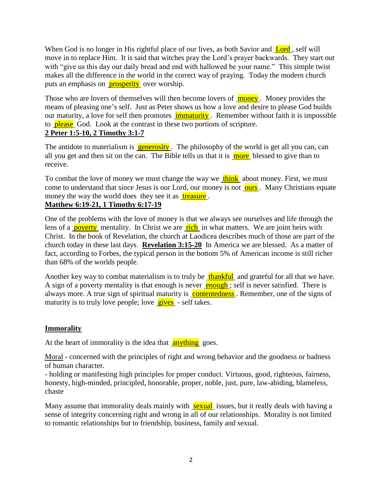When God is no longer in His rightful place of our lives, as both Savior and Lord, self will move in to replace Him. It is said that witches pray the Lord's prayer backwards. They start out with "give us this day our daily bread and end with hallowed be your name." This simple twist makes all the difference in the world in the correct way of praying. Today the modern church puts an emphasis on **prosperity** over worship.

Those who are lovers of themselves will then become lovers of **money**. Money provides the means of pleasing one's self. Just as Peter shows us how a love and desire to please God builds our maturity, a love for self then promotes **immaturity**. Remember without faith it is impossible to **please** God. Look at the contrast in these two portions of scripture. **2 Peter 1:5-10, 2 Timothy 3:1-7**

The antidote to materialism is **generosity**. The philosophy of the world is get all you can, can all you get and then sit on the can. The Bible tells us that it is  $\frac{1}{m}$  blessed to give than to receive.

To combat the love of money we must change the way we think about money. First, we must come to understand that since Jesus is our Lord, our money is not ours. Many Christians equate money the way the world does they see it as treasure.

# **Matthew 6:19-21, 1 Timothy 6:17-19**

One of the problems with the love of money is that we always see ourselves and life through the lens of a **poverty** mentality. In Christ we are **rich** in what matters. We are joint heirs with Christ. In the book of Revelation, the church at Laodicea describes much of those are part of the church today in these last days. **Revelation 3:15-20** In America we are blessed. As a matter of fact, according to Forbes, the typical person in the bottom 5% of American income is still richer than 68% of the worlds people.

Another key way to combat materialism is to truly be thankful and grateful for all that we have. A sign of a poverty mentality is that enough is never enough; self is never satisfied. There is always more. A true sign of spiritual maturity is contentedness. Remember, one of the signs of maturity is to truly love people; love  $\frac{gives}{gives}$  - self takes.

### **Immorality**

At the heart of immorality is the idea that **anything** goes.

Moral - concerned with the principles of right and wrong behavior and the goodness or badness of human character.

- holding or manifesting high principles for proper conduct. Virtuous, good, righteous, fairness, honesty, high-minded, principled, honorable, proper, noble, just, pure, law-abiding, blameless, chaste

Many assume that immorality deals mainly with sexual issues, but it really deals with having a sense of integrity concerning right and wrong in all of our relationships. Morality is not limited to romantic relationships but to friendship, business, family and sexual.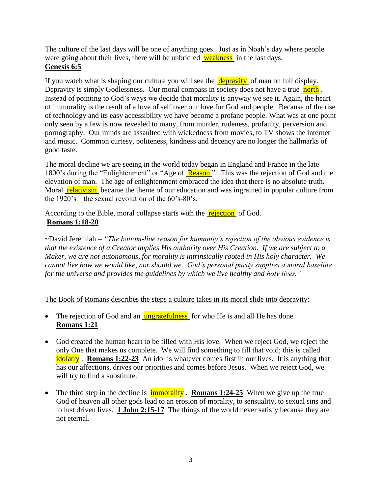The culture of the last days will be one of anything goes. Just as in Noah's day where people were going about their lives, there will be unbridled weakness in the last days. **Genesis 6:5**

If you watch what is shaping our culture you will see the  $\frac{depravity}{d}$  of man on full display. Depravity is simply Godlessness. Our moral compass in society does not have a true north. Instead of pointing to God's ways we decide that morality is anyway we see it. Again, the heart of immorality is the result of a love of self over our love for God and people. Because of the rise of technology and its easy accessibility we have become a profane people. What was at one point only seen by a few is now revealed to many, from murder, rudeness, profanity, perversion and pornography. Our minds are assaulted with wickedness from movies, to TV shows the internet and music. Common curtesy, politeness, kindness and decency are no longer the hallmarks of good taste.

The moral decline we are seeing in the world today began in England and France in the late 1800's during the "Enlightenment" or "Age of Reason". This was the rejection of God and the elevation of man. The age of enlightenment embraced the idea that there is no absolute truth. Moral **relativism** became the theme of our education and was ingrained in popular culture from the  $1920$ 's – the sexual revolution of the  $60$ 's- $80$ 's.

According to the Bible, moral collapse starts with the **rejection** of God. **Romans 1:18-20** 

~David Jeremiah – *"The bottom-line reason for humanity's rejection of the obvious evidence is that the existence of a Creator implies His authority over His Creation. If we are subject to a Maker, we are not autonomous, for morality is intrinsically rooted in His holy character. We cannot live how we would like, nor should we. God's personal purity supplies a moral baseline for the universe and provides the guidelines by which we live healthy and holy lives."*

The Book of Romans describes the steps a culture takes in its moral slide into depravity:

- The rejection of God and an  $\frac{ungratefulness}{ulnes}$  for who He is and all He has done. **Romans 1:21**
- God created the human heart to be filled with His love. When we reject God, we reject the only One that makes us complete. We will find something to fill that void; this is called idolatry . **Romans 1:22-23** An idol is whatever comes first in our lives. It is anything that has our affections, drives our priorities and comes before Jesus. When we reject God, we will try to find a substitute.
- The third step in the decline is **immorality**. **Romans 1:24-25** When we give up the true God of heaven all other gods lead to an erosion of morality, to sensuality, to sexual sins and to lust driven lives. **1 John 2:15-17** The things of the world never satisfy because they are not eternal.